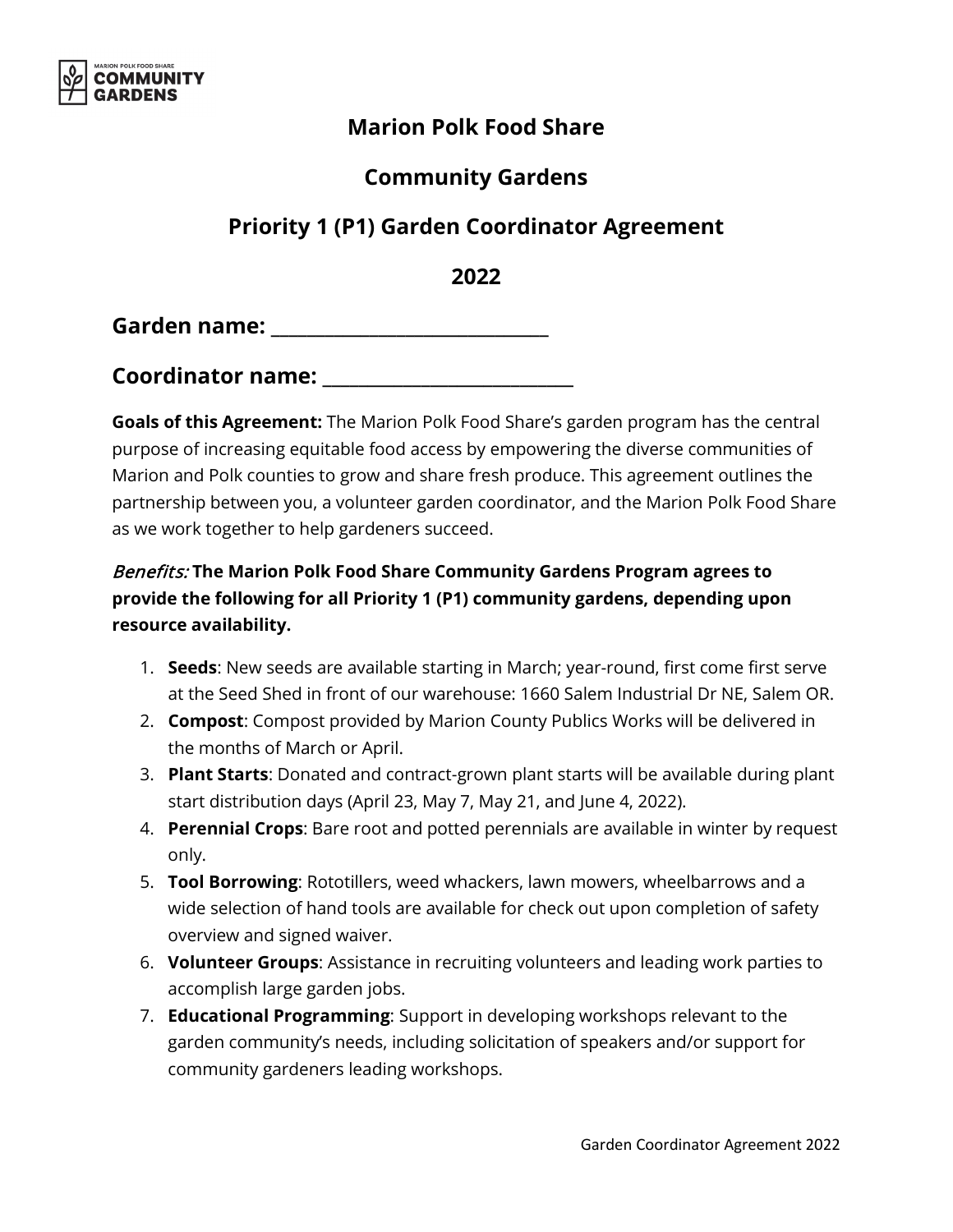

### **Marion Polk Food Share**

## **Community Gardens**

# **Priority 1 (P1) Garden Coordinator Agreement**

**2022** 

**Garden name: \_\_\_\_\_\_\_\_\_\_\_\_\_\_\_\_\_\_\_\_\_\_\_\_\_\_\_\_\_\_\_**

**Coordinator name: \_\_\_\_\_\_\_\_\_\_\_\_\_\_\_\_\_\_\_\_\_\_\_\_\_\_\_\_**

**Goals of this Agreement:** The Marion Polk Food Share's garden program has the central purpose of increasing equitable food access by empowering the diverse communities of Marion and Polk counties to grow and share fresh produce. This agreement outlines the partnership between you, a volunteer garden coordinator, and the Marion Polk Food Share as we work together to help gardeners succeed.

#### Benefits: **The Marion Polk Food Share Community Gardens Program agrees to provide the following for all Priority 1 (P1) community gardens, depending upon resource availability.**

- 1. **Seeds**: New seeds are available starting in March; year-round, first come first serve at the Seed Shed in front of our warehouse: 1660 Salem Industrial Dr NE, Salem OR.
- 2. **Compost**: Compost provided by Marion County Publics Works will be delivered in the months of March or April.
- 3. **Plant Starts**: Donated and contract-grown plant starts will be available during plant start distribution days (April 23, May 7, May 21, and June 4, 2022).
- 4. **Perennial Crops**: Bare root and potted perennials are available in winter by request only.
- 5. **Tool Borrowing**: Rototillers, weed whackers, lawn mowers, wheelbarrows and a wide selection of hand tools are available for check out upon completion of safety overview and signed waiver.
- 6. **Volunteer Groups**: Assistance in recruiting volunteers and leading work parties to accomplish large garden jobs.
- 7. **Educational Programming**: Support in developing workshops relevant to the garden community's needs, including solicitation of speakers and/or support for community gardeners leading workshops.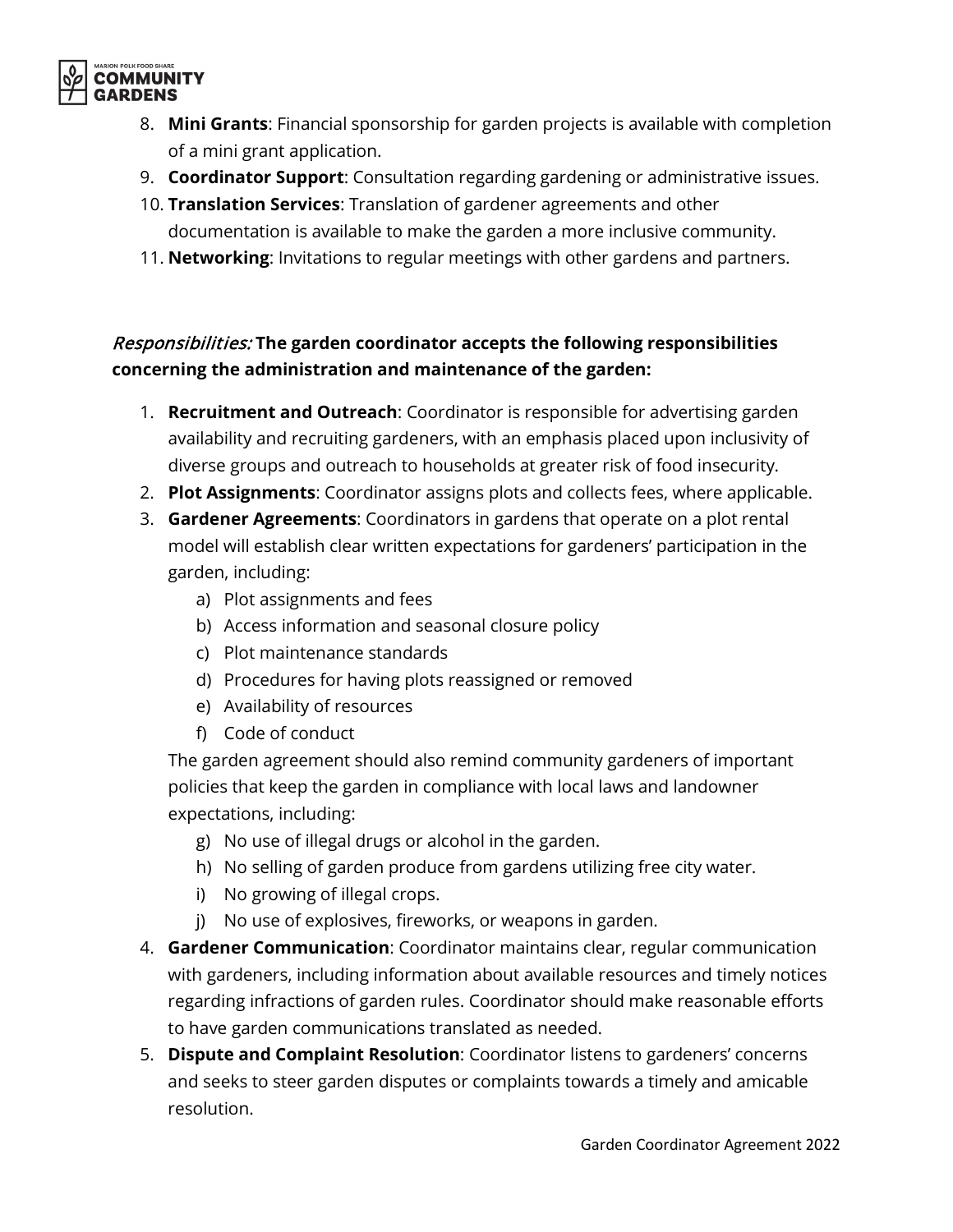

- 8. **Mini Grants**: Financial sponsorship for garden projects is available with completion of a mini grant application.
- 9. **Coordinator Support**: Consultation regarding gardening or administrative issues.
- 10. **Translation Services**: Translation of gardener agreements and other documentation is available to make the garden a more inclusive community.
- 11. **Networking**: Invitations to regular meetings with other gardens and partners.

#### Responsibilities: **The garden coordinator accepts the following responsibilities concerning the administration and maintenance of the garden:**

- 1. **Recruitment and Outreach**: Coordinator is responsible for advertising garden availability and recruiting gardeners, with an emphasis placed upon inclusivity of diverse groups and outreach to households at greater risk of food insecurity.
- 2. **Plot Assignments**: Coordinator assigns plots and collects fees, where applicable.
- 3. **Gardener Agreements**: Coordinators in gardens that operate on a plot rental model will establish clear written expectations for gardeners' participation in the garden, including:
	- a) Plot assignments and fees
	- b) Access information and seasonal closure policy
	- c) Plot maintenance standards
	- d) Procedures for having plots reassigned or removed
	- e) Availability of resources
	- f) Code of conduct

The garden agreement should also remind community gardeners of important policies that keep the garden in compliance with local laws and landowner expectations, including:

- g) No use of illegal drugs or alcohol in the garden.
- h) No selling of garden produce from gardens utilizing free city water.
- i) No growing of illegal crops.
- j) No use of explosives, fireworks, or weapons in garden.
- 4. **Gardener Communication**: Coordinator maintains clear, regular communication with gardeners, including information about available resources and timely notices regarding infractions of garden rules. Coordinator should make reasonable efforts to have garden communications translated as needed.
- 5. **Dispute and Complaint Resolution**: Coordinator listens to gardeners' concerns and seeks to steer garden disputes or complaints towards a timely and amicable resolution.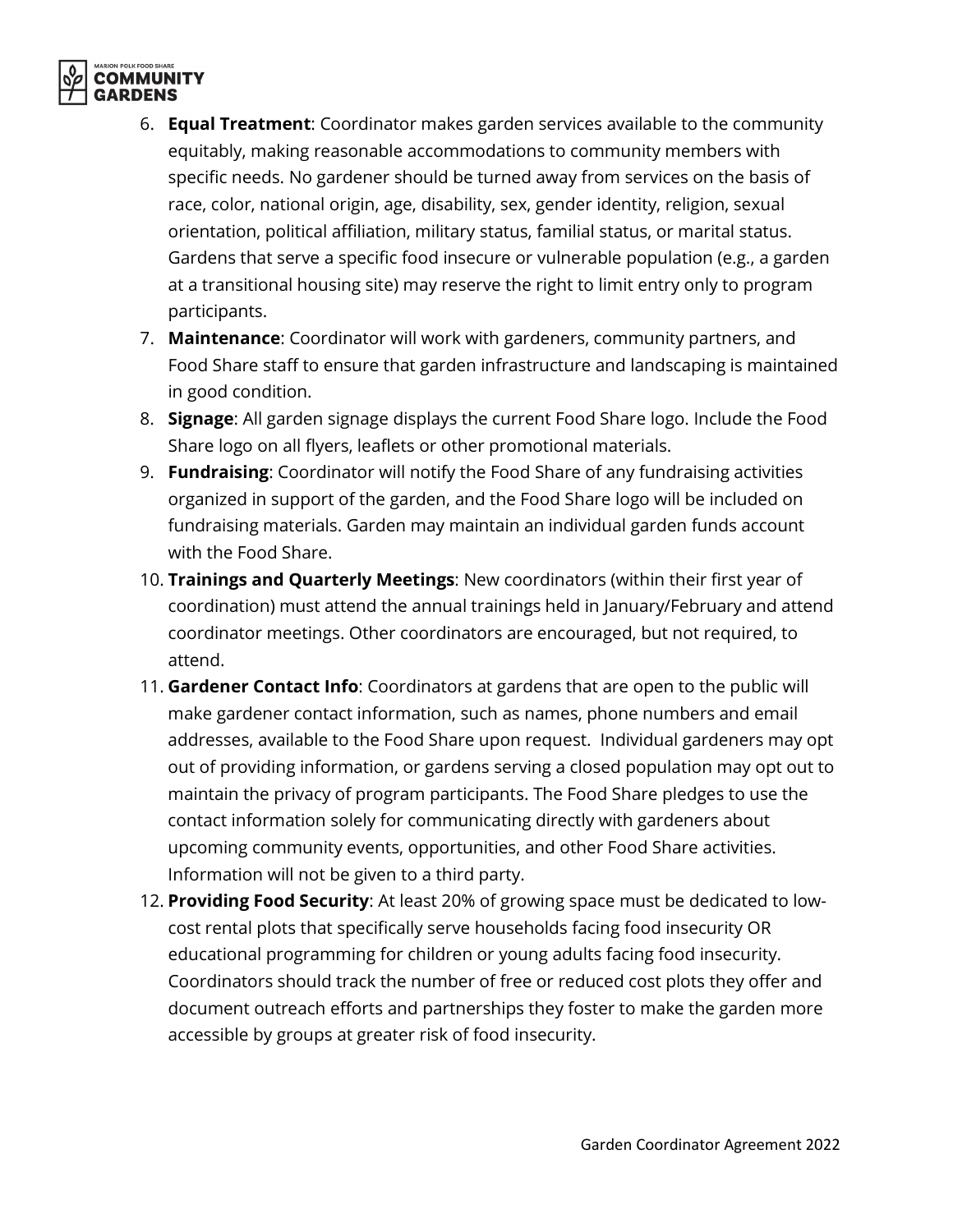

- 6. **Equal Treatment**: Coordinator makes garden services available to the community equitably, making reasonable accommodations to community members with specific needs. No gardener should be turned away from services on the basis of race, color, national origin, age, disability, sex, gender identity, religion, sexual orientation, political affiliation, military status, familial status, or marital status. Gardens that serve a specific food insecure or vulnerable population (e.g., a garden at a transitional housing site) may reserve the right to limit entry only to program participants.
- 7. **Maintenance**: Coordinator will work with gardeners, community partners, and Food Share staff to ensure that garden infrastructure and landscaping is maintained in good condition.
- 8. **Signage**: All garden signage displays the current Food Share logo. Include the Food Share logo on all flyers, leaflets or other promotional materials.
- 9. **Fundraising**: Coordinator will notify the Food Share of any fundraising activities organized in support of the garden, and the Food Share logo will be included on fundraising materials. Garden may maintain an individual garden funds account with the Food Share.
- 10. **Trainings and Quarterly Meetings**: New coordinators (within their first year of coordination) must attend the annual trainings held in January/February and attend coordinator meetings. Other coordinators are encouraged, but not required, to attend.
- 11. **Gardener Contact Info**: Coordinators at gardens that are open to the public will make gardener contact information, such as names, phone numbers and email addresses, available to the Food Share upon request. Individual gardeners may opt out of providing information, or gardens serving a closed population may opt out to maintain the privacy of program participants. The Food Share pledges to use the contact information solely for communicating directly with gardeners about upcoming community events, opportunities, and other Food Share activities. Information will not be given to a third party.
- 12. **Providing Food Security**: At least 20% of growing space must be dedicated to lowcost rental plots that specifically serve households facing food insecurity OR educational programming for children or young adults facing food insecurity. Coordinators should track the number of free or reduced cost plots they offer and document outreach efforts and partnerships they foster to make the garden more accessible by groups at greater risk of food insecurity.